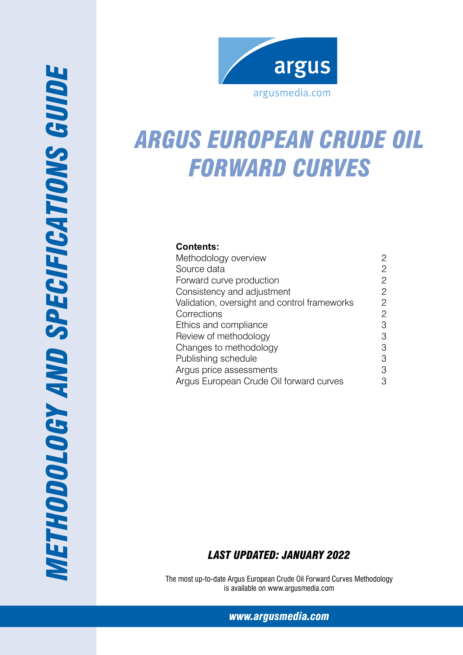

# *Argus european Crude oil forward curves*

## **Contents:**

| Methodology overview                         | 2              |
|----------------------------------------------|----------------|
| Source data                                  | 2              |
| Forward curve production                     | $\overline{c}$ |
| Consistency and adjustment                   | $\overline{c}$ |
| Validation, oversight and control frameworks | 2              |
| Corrections                                  | $\overline{c}$ |
| Ethics and compliance                        | 3              |
| Review of methodology                        | 3              |
| Changes to methodology                       | 3              |
| Publishing schedule                          | 3              |
| Argus price assessments                      | 3              |
| Argus European Crude Oil forward curves      | З              |

## *Last Updated: January 2022*

The most up-to-date Argus European Crude Oil Forward Curves Methodology is available on www.argusmedia.com

*[www.argusmedia.com](http://www.argusmediagroup.com)*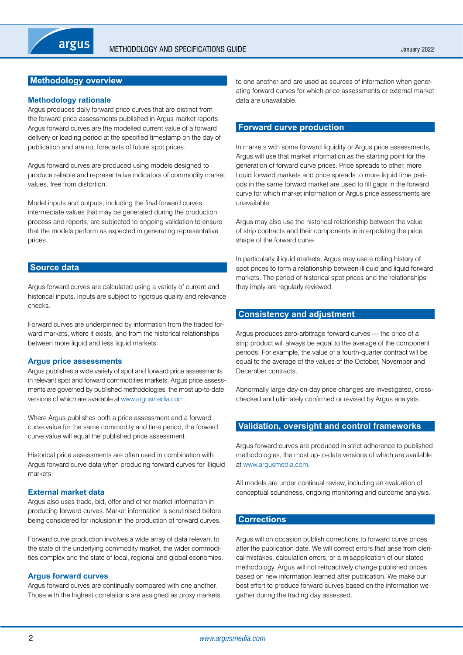## <span id="page-1-0"></span>**Methodology overview**

#### **Methodology rationale**

Argus produces daily forward price curves that are distinct from the forward price assessments published in Argus market reports. Argus forward curves are the modelled current value of a forward delivery or loading period at the specified timestamp on the day of publication and are not forecasts of future spot prices.

Argus forward curves are produced using models designed to produce reliable and representative indicators of commodity market values, free from distortion.

Model inputs and outputs, including the final forward curves, intermediate values that may be generated during the production process and reports, are subjected to ongoing validation to ensure that the models perform as expected in generating representative prices.

#### **Source data**

Argus forward curves are calculated using a variety of current and historical inputs. Inputs are subject to rigorous quality and relevance checks.

Forward curves are underpinned by information from the traded forward markets, where it exists, and from the historical relationships between more liquid and less liquid markets.

#### **Argus price assessments**

Argus publishes a wide variety of spot and forward price assessments in relevant spot and forward commodities markets. Argus price assessments are governed by published methodologies, the most up-to-date versions of which are available at www.argusmedia.com.

Where Argus publishes both a price assessment and a forward curve value for the same commodity and time period, the forward curve value will equal the published price assessment.

Historical price assessments are often used in combination with Argus forward curve data when producing forward curves for illiquid markets.

#### **External market data**

Argus also uses trade, bid, offer and other market information in producing forward curves. Market information is scrutinised before being considered for inclusion in the production of forward curves.

Forward curve production involves a wide array of data relevant to the state of the underlying commodity market, the wider commodities complex and the state of local, regional and global economies.

#### **Argus forward curves**

Argus forward curves are continually compared with one another. Those with the highest correlations are assigned as proxy markets to one another and are used as sources of information when generating forward curves for which price assessments or external market data are unavailable.

#### **Forward curve production**

In markets with some forward liquidity or Argus price assessments, Argus will use that market information as the starting point for the generation of forward curve prices. Price spreads to other, more liquid forward markets and price spreads to more liquid time periods in the same forward market are used to fill gaps in the forward curve for which market information or Argus price assessments are unavailable.

Argus may also use the historical relationship between the value of strip contracts and their components in interpolating the price shape of the forward curve.

In particularly illiquid markets, Argus may use a rolling history of spot prices to form a relationship between illiquid and liquid forward markets. The period of historical spot prices and the relationships they imply are regularly reviewed.

#### **Consistency and adjustment**

Argus produces zero-arbitrage forward curves — the price of a strip product will always be equal to the average of the component periods. For example, the value of a fourth-quarter contract will be equal to the average of the values of the October, November and December contracts.

Abnormally large day-on-day price changes are investigated, crosschecked and ultimately confirmed or revised by Argus analysts.

## **Validation, oversight and control frameworks**

Argus forward curves are produced in strict adherence to published methodologies, the most up-to-date versions of which are available at www.argusmedia.com.

All models are under continual review, including an evaluation of conceptual soundness, ongoing monitoring and outcome analysis.

#### **Corrections**

Argus will on occasion publish corrections to forward curve prices after the publication date. We will correct errors that arise from clerical mistakes, calculation errors, or a misapplication of our stated methodology. Argus will not retroactively change published prices based on new information learned after publication. We make our best effort to produce forward curves based on the information we gather during the trading day assessed.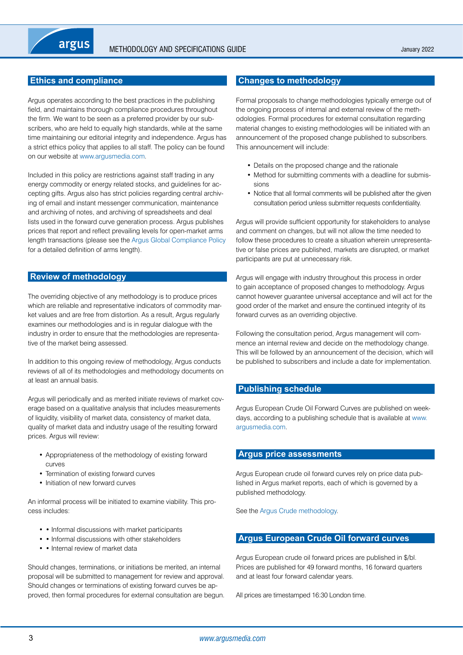## <span id="page-2-0"></span>**Ethics and compliance**

Argus operates according to the best practices in the publishing field, and maintains thorough compliance procedures throughout the firm. We want to be seen as a preferred provider by our subscribers, who are held to equally high standards, while at the same time maintaining our editorial integrity and independence. Argus has a strict ethics policy that applies to all staff. The policy can be found on our website at www.argusmedia.com.

Included in this policy are restrictions against staff trading in any energy commodity or energy related stocks, and guidelines for accepting gifts. Argus also has strict policies regarding central archiving of email and instant messenger communication, maintenance and archiving of notes, and archiving of spreadsheets and deal lists used in the forward curve generation process. Argus publishes prices that report and reflect prevailing levels for open-market arms length transactions (please see the Argus Global Compliance Policy for a detailed definition of arms length).

#### **Review of methodology**

The overriding objective of any methodology is to produce prices which are reliable and representative indicators of commodity market values and are free from distortion. As a result, Argus regularly examines our methodologies and is in regular dialogue with the industry in order to ensure that the methodologies are representative of the market being assessed.

In addition to this ongoing review of methodology, Argus conducts reviews of all of its methodologies and methodology documents on at least an annual basis.

Argus will periodically and as merited initiate reviews of market coverage based on a qualitative analysis that includes measurements of liquidity, visibility of market data, consistency of market data, quality of market data and industry usage of the resulting forward prices. Argus will review:

- • Appropriateness of the methodology of existing forward curves
- Termination of existing forward curves
- Initiation of new forward curves

An informal process will be initiated to examine viability. This process includes:

- • Informal discussions with market participants
- Informal discussions with other stakeholders
- • Internal review of market data

Should changes, terminations, or initiations be merited, an internal proposal will be submitted to management for review and approval. Should changes or terminations of existing forward curves be approved, then formal procedures for external consultation are begun.

## **Changes to methodology**

Formal proposals to change methodologies typically emerge out of the ongoing process of internal and external review of the methodologies. Formal procedures for external consultation regarding material changes to existing methodologies will be initiated with an announcement of the proposed change published to subscribers. This announcement will include:

- Details on the proposed change and the rationale
- Method for submitting comments with a deadline for submissions
- Notice that all formal comments will be published after the given consultation period unless submitter requests confidentiality.

Argus will provide sufficient opportunity for stakeholders to analyse and comment on changes, but will not allow the time needed to follow these procedures to create a situation wherein unrepresentative or false prices are published, markets are disrupted, or market participants are put at unnecessary risk.

Argus will engage with industry throughout this process in order to gain acceptance of proposed changes to methodology. Argus cannot however guarantee universal acceptance and will act for the good order of the market and ensure the continued integrity of its forward curves as an overriding objective.

Following the consultation period, Argus management will commence an internal review and decide on the methodology change. This will be followed by an announcement of the decision, which will be published to subscribers and include a date for implementation.

#### **Publishing schedule**

Argus European Crude Oil Forward Curves are published on weekdays, according to a publishing schedule that is available at www. argusmedia.com.

## **Argus price assessments**

Argus European crude oil forward curves rely on price data published in Argus market reports, each of which is governed by a published methodology.

See the Argus Crude methodology.

#### **Argus European Crude Oil forward curves**

Argus European crude oil forward prices are published in \$/bl. Prices are published for 49 forward months, 16 forward quarters and at least four forward calendar years.

All prices are timestamped 16:30 London time.